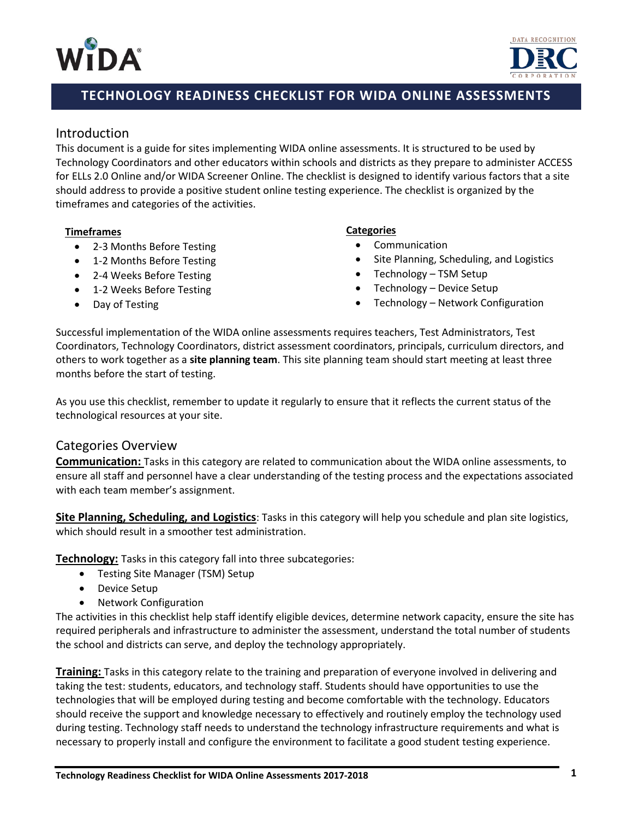



# **TECHNOLOGY READINESS CHECKLIST FOR WIDA ONLINE ASSESSMENTS**

## Introduction

This document is a guide for sites implementing WIDA online assessments. It is structured to be used by Technology Coordinators and other educators within schools and districts as they prepare to administer ACCESS for ELLs 2.0 Online and/or WIDA Screener Online. The checklist is designed to identify various factors that a site should address to provide a positive student online testing experience. The checklist is organized by the timeframes and categories of the activities.

#### **Timeframes**

- 2-3 Months Before Testing
- 1-2 Months Before Testing
- 2-4 Weeks Before Testing
- 1-2 Weeks Before Testing
- Day of Testing

#### **Categories**

- **Communication**
- Site Planning, Scheduling, and Logistics
- Technology TSM Setup
- Technology Device Setup
- Technology Network Configuration

Successful implementation of the WIDA online assessments requires teachers, Test Administrators, Test Coordinators, Technology Coordinators, district assessment coordinators, principals, curriculum directors, and others to work together as a **site planning team**. This site planning team should start meeting at least three months before the start of testing.

As you use this checklist, remember to update it regularly to ensure that it reflects the current status of the technological resources at your site.

### Categories Overview

**Communication:** Tasks in this category are related to communication about the WIDA online assessments, to ensure all staff and personnel have a clear understanding of the testing process and the expectations associated with each team member's assignment.

**Site Planning, Scheduling, and Logistics**: Tasks in this category will help you schedule and plan site logistics, which should result in a smoother test administration.

**Technology:** Tasks in this category fall into three subcategories:

- Testing Site Manager (TSM) Setup
- Device Setup
- Network Configuration

The activities in this checklist help staff identify eligible devices, determine network capacity, ensure the site has required peripherals and infrastructure to administer the assessment, understand the total number of students the school and districts can serve, and deploy the technology appropriately.

**Training:** Tasks in this category relate to the training and preparation of everyone involved in delivering and taking the test: students, educators, and technology staff. Students should have opportunities to use the technologies that will be employed during testing and become comfortable with the technology. Educators should receive the support and knowledge necessary to effectively and routinely employ the technology used during testing. Technology staff needs to understand the technology infrastructure requirements and what is necessary to properly install and configure the environment to facilitate a good student testing experience.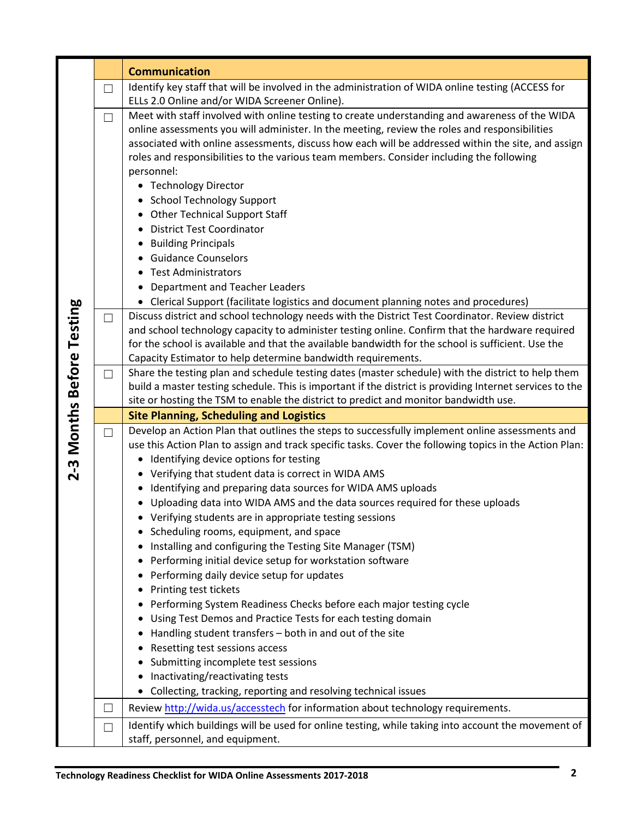|                           |        | <b>Communication</b>                                                                                                                                                                                  |
|---------------------------|--------|-------------------------------------------------------------------------------------------------------------------------------------------------------------------------------------------------------|
|                           | $\Box$ | Identify key staff that will be involved in the administration of WIDA online testing (ACCESS for                                                                                                     |
|                           |        | ELLs 2.0 Online and/or WIDA Screener Online).                                                                                                                                                         |
|                           | $\Box$ | Meet with staff involved with online testing to create understanding and awareness of the WIDA                                                                                                        |
|                           |        | online assessments you will administer. In the meeting, review the roles and responsibilities                                                                                                         |
|                           |        | associated with online assessments, discuss how each will be addressed within the site, and assign                                                                                                    |
|                           |        | roles and responsibilities to the various team members. Consider including the following                                                                                                              |
|                           |        | personnel:                                                                                                                                                                                            |
|                           |        | • Technology Director                                                                                                                                                                                 |
|                           |        | <b>School Technology Support</b>                                                                                                                                                                      |
|                           |        | <b>Other Technical Support Staff</b>                                                                                                                                                                  |
|                           |        | <b>District Test Coordinator</b><br>$\bullet$                                                                                                                                                         |
|                           |        | <b>Building Principals</b><br>$\bullet$                                                                                                                                                               |
|                           |        | <b>Guidance Counselors</b>                                                                                                                                                                            |
|                           |        | <b>Test Administrators</b><br>$\bullet$                                                                                                                                                               |
|                           |        | Department and Teacher Leaders                                                                                                                                                                        |
|                           |        | • Clerical Support (facilitate logistics and document planning notes and procedures)                                                                                                                  |
|                           | $\Box$ | Discuss district and school technology needs with the District Test Coordinator. Review district                                                                                                      |
|                           |        | and school technology capacity to administer testing online. Confirm that the hardware required<br>for the school is available and that the available bandwidth for the school is sufficient. Use the |
|                           |        |                                                                                                                                                                                                       |
|                           |        | Capacity Estimator to help determine bandwidth requirements.<br>Share the testing plan and schedule testing dates (master schedule) with the district to help them                                    |
|                           | $\Box$ | build a master testing schedule. This is important if the district is providing Internet services to the                                                                                              |
|                           |        | site or hosting the TSM to enable the district to predict and monitor bandwidth use.                                                                                                                  |
| 2-3 Months Before Testing |        | <b>Site Planning, Scheduling and Logistics</b>                                                                                                                                                        |
|                           | П      | Develop an Action Plan that outlines the steps to successfully implement online assessments and                                                                                                       |
|                           |        | use this Action Plan to assign and track specific tasks. Cover the following topics in the Action Plan:                                                                                               |
|                           |        | Identifying device options for testing<br>٠                                                                                                                                                           |
|                           |        | Verifying that student data is correct in WIDA AMS                                                                                                                                                    |
|                           |        | Identifying and preparing data sources for WIDA AMS uploads<br>٠                                                                                                                                      |
|                           |        | Uploading data into WIDA AMS and the data sources required for these uploads                                                                                                                          |
|                           |        | • Verifying students are in appropriate testing sessions                                                                                                                                              |
|                           |        | Scheduling rooms, equipment, and space<br>٠                                                                                                                                                           |
|                           |        | Installing and configuring the Testing Site Manager (TSM)                                                                                                                                             |
|                           |        | Performing initial device setup for workstation software                                                                                                                                              |
|                           |        | Performing daily device setup for updates                                                                                                                                                             |
|                           |        | Printing test tickets                                                                                                                                                                                 |
|                           |        | Performing System Readiness Checks before each major testing cycle                                                                                                                                    |
|                           |        | Using Test Demos and Practice Tests for each testing domain                                                                                                                                           |
|                           |        | Handling student transfers - both in and out of the site                                                                                                                                              |
|                           |        | Resetting test sessions access                                                                                                                                                                        |
|                           |        | Submitting incomplete test sessions                                                                                                                                                                   |
|                           |        | Inactivating/reactivating tests                                                                                                                                                                       |
|                           |        | Collecting, tracking, reporting and resolving technical issues                                                                                                                                        |
|                           | $\Box$ | Review http://wida.us/accesstech for information about technology requirements.                                                                                                                       |
|                           | $\Box$ | Identify which buildings will be used for online testing, while taking into account the movement of                                                                                                   |
|                           |        | staff, personnel, and equipment.                                                                                                                                                                      |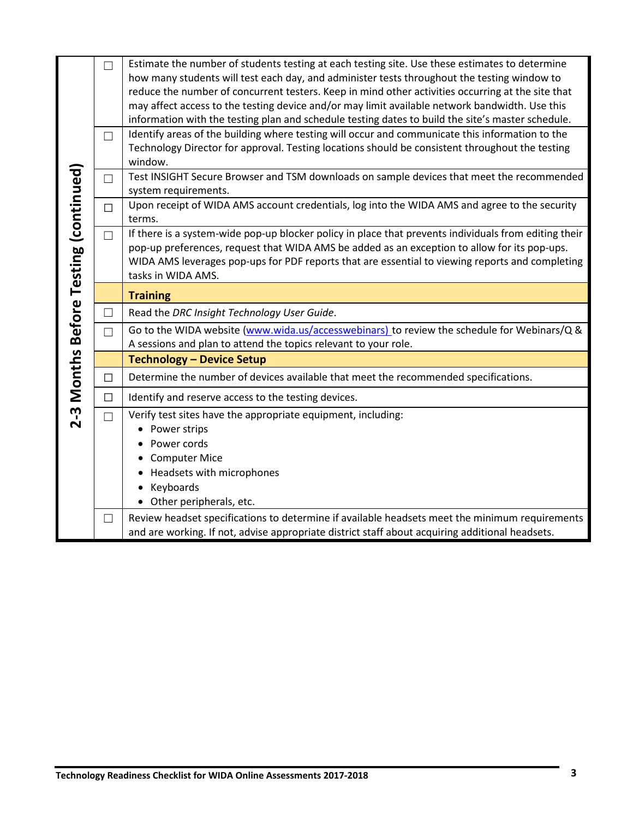|                                       | П<br>П                   | Estimate the number of students testing at each testing site. Use these estimates to determine<br>how many students will test each day, and administer tests throughout the testing window to<br>reduce the number of concurrent testers. Keep in mind other activities occurring at the site that<br>may affect access to the testing device and/or may limit available network bandwidth. Use this<br>information with the testing plan and schedule testing dates to build the site's master schedule.<br>Identify areas of the building where testing will occur and communicate this information to the<br>Technology Director for approval. Testing locations should be consistent throughout the testing |
|---------------------------------------|--------------------------|-----------------------------------------------------------------------------------------------------------------------------------------------------------------------------------------------------------------------------------------------------------------------------------------------------------------------------------------------------------------------------------------------------------------------------------------------------------------------------------------------------------------------------------------------------------------------------------------------------------------------------------------------------------------------------------------------------------------|
|                                       |                          | window.                                                                                                                                                                                                                                                                                                                                                                                                                                                                                                                                                                                                                                                                                                         |
|                                       | $\overline{\phantom{0}}$ | Test INSIGHT Secure Browser and TSM downloads on sample devices that meet the recommended<br>system requirements.                                                                                                                                                                                                                                                                                                                                                                                                                                                                                                                                                                                               |
|                                       | $\Box$                   | Upon receipt of WIDA AMS account credentials, log into the WIDA AMS and agree to the security<br>terms.                                                                                                                                                                                                                                                                                                                                                                                                                                                                                                                                                                                                         |
| 2-3 Months Before Testing (continued) | П                        | If there is a system-wide pop-up blocker policy in place that prevents individuals from editing their<br>pop-up preferences, request that WIDA AMS be added as an exception to allow for its pop-ups.<br>WIDA AMS leverages pop-ups for PDF reports that are essential to viewing reports and completing<br>tasks in WIDA AMS.                                                                                                                                                                                                                                                                                                                                                                                  |
|                                       |                          | <b>Training</b>                                                                                                                                                                                                                                                                                                                                                                                                                                                                                                                                                                                                                                                                                                 |
|                                       | П                        | Read the DRC Insight Technology User Guide.                                                                                                                                                                                                                                                                                                                                                                                                                                                                                                                                                                                                                                                                     |
|                                       | П                        | Go to the WIDA website (www.wida.us/accesswebinars) to review the schedule for Webinars/Q &<br>A sessions and plan to attend the topics relevant to your role.                                                                                                                                                                                                                                                                                                                                                                                                                                                                                                                                                  |
|                                       |                          | <b>Technology - Device Setup</b>                                                                                                                                                                                                                                                                                                                                                                                                                                                                                                                                                                                                                                                                                |
|                                       | П                        | Determine the number of devices available that meet the recommended specifications.                                                                                                                                                                                                                                                                                                                                                                                                                                                                                                                                                                                                                             |
|                                       | $\Box$                   | Identify and reserve access to the testing devices.                                                                                                                                                                                                                                                                                                                                                                                                                                                                                                                                                                                                                                                             |
|                                       |                          | Verify test sites have the appropriate equipment, including:                                                                                                                                                                                                                                                                                                                                                                                                                                                                                                                                                                                                                                                    |
|                                       |                          | Power strips<br>$\bullet$                                                                                                                                                                                                                                                                                                                                                                                                                                                                                                                                                                                                                                                                                       |
|                                       |                          | Power cords                                                                                                                                                                                                                                                                                                                                                                                                                                                                                                                                                                                                                                                                                                     |
|                                       |                          | <b>Computer Mice</b>                                                                                                                                                                                                                                                                                                                                                                                                                                                                                                                                                                                                                                                                                            |
|                                       |                          | Headsets with microphones                                                                                                                                                                                                                                                                                                                                                                                                                                                                                                                                                                                                                                                                                       |
|                                       |                          | Keyboards                                                                                                                                                                                                                                                                                                                                                                                                                                                                                                                                                                                                                                                                                                       |
|                                       |                          | Other peripherals, etc.                                                                                                                                                                                                                                                                                                                                                                                                                                                                                                                                                                                                                                                                                         |
|                                       | $\vert \ \ \vert$        | Review headset specifications to determine if available headsets meet the minimum requirements                                                                                                                                                                                                                                                                                                                                                                                                                                                                                                                                                                                                                  |
|                                       |                          | and are working. If not, advise appropriate district staff about acquiring additional headsets.                                                                                                                                                                                                                                                                                                                                                                                                                                                                                                                                                                                                                 |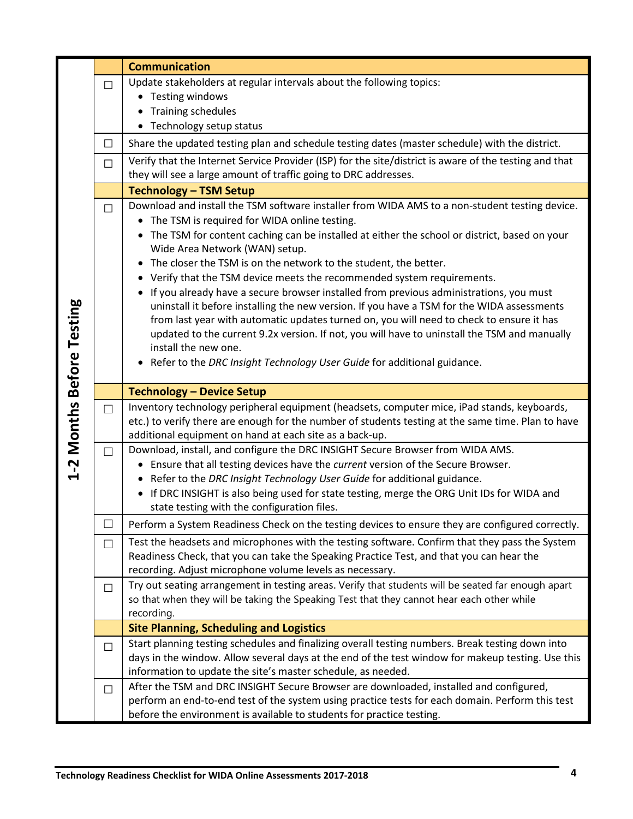|                           |        | <b>Communication</b>                                                                                                           |
|---------------------------|--------|--------------------------------------------------------------------------------------------------------------------------------|
|                           | П      | Update stakeholders at regular intervals about the following topics:                                                           |
|                           |        | • Testing windows                                                                                                              |
|                           |        | <b>Training schedules</b>                                                                                                      |
|                           |        | Technology setup status                                                                                                        |
|                           | $\Box$ | Share the updated testing plan and schedule testing dates (master schedule) with the district.                                 |
|                           | $\Box$ | Verify that the Internet Service Provider (ISP) for the site/district is aware of the testing and that                         |
|                           |        | they will see a large amount of traffic going to DRC addresses.                                                                |
|                           |        | <b>Technology - TSM Setup</b>                                                                                                  |
|                           | П      | Download and install the TSM software installer from WIDA AMS to a non-student testing device.                                 |
|                           |        | The TSM is required for WIDA online testing.<br>$\bullet$                                                                      |
|                           |        | The TSM for content caching can be installed at either the school or district, based on your<br>Wide Area Network (WAN) setup. |
|                           |        | The closer the TSM is on the network to the student, the better.                                                               |
|                           |        | Verify that the TSM device meets the recommended system requirements.                                                          |
|                           |        | If you already have a secure browser installed from previous administrations, you must                                         |
|                           |        | uninstall it before installing the new version. If you have a TSM for the WIDA assessments                                     |
|                           |        | from last year with automatic updates turned on, you will need to check to ensure it has                                       |
|                           |        | updated to the current 9.2x version. If not, you will have to uninstall the TSM and manually                                   |
|                           |        | install the new one.                                                                                                           |
|                           |        | Refer to the DRC Insight Technology User Guide for additional guidance.                                                        |
| 1-2 Months Before Testing |        | <b>Technology - Device Setup</b>                                                                                               |
|                           | $\Box$ | Inventory technology peripheral equipment (headsets, computer mice, iPad stands, keyboards,                                    |
|                           |        | etc.) to verify there are enough for the number of students testing at the same time. Plan to have                             |
|                           |        | additional equipment on hand at each site as a back-up.                                                                        |
|                           | $\Box$ | Download, install, and configure the DRC INSIGHT Secure Browser from WIDA AMS.                                                 |
|                           |        | • Ensure that all testing devices have the current version of the Secure Browser.                                              |
|                           |        | Refer to the DRC Insight Technology User Guide for additional guidance.                                                        |
|                           |        | If DRC INSIGHT is also being used for state testing, merge the ORG Unit IDs for WIDA and                                       |
|                           |        | state testing with the configuration files.                                                                                    |
|                           |        | Perform a System Readiness Check on the testing devices to ensure they are configured correctly.                               |
|                           | $\Box$ | Test the headsets and microphones with the testing software. Confirm that they pass the System                                 |
|                           |        | Readiness Check, that you can take the Speaking Practice Test, and that you can hear the                                       |
|                           |        | recording. Adjust microphone volume levels as necessary.                                                                       |
|                           | $\Box$ | Try out seating arrangement in testing areas. Verify that students will be seated far enough apart                             |
|                           |        | so that when they will be taking the Speaking Test that they cannot hear each other while<br>recording.                        |
|                           |        | <b>Site Planning, Scheduling and Logistics</b>                                                                                 |
|                           | $\Box$ | Start planning testing schedules and finalizing overall testing numbers. Break testing down into                               |
|                           |        | days in the window. Allow several days at the end of the test window for makeup testing. Use this                              |
|                           |        | information to update the site's master schedule, as needed.                                                                   |
|                           | $\Box$ | After the TSM and DRC INSIGHT Secure Browser are downloaded, installed and configured,                                         |
|                           |        | perform an end-to-end test of the system using practice tests for each domain. Perform this test                               |
|                           |        | before the environment is available to students for practice testing.                                                          |

a.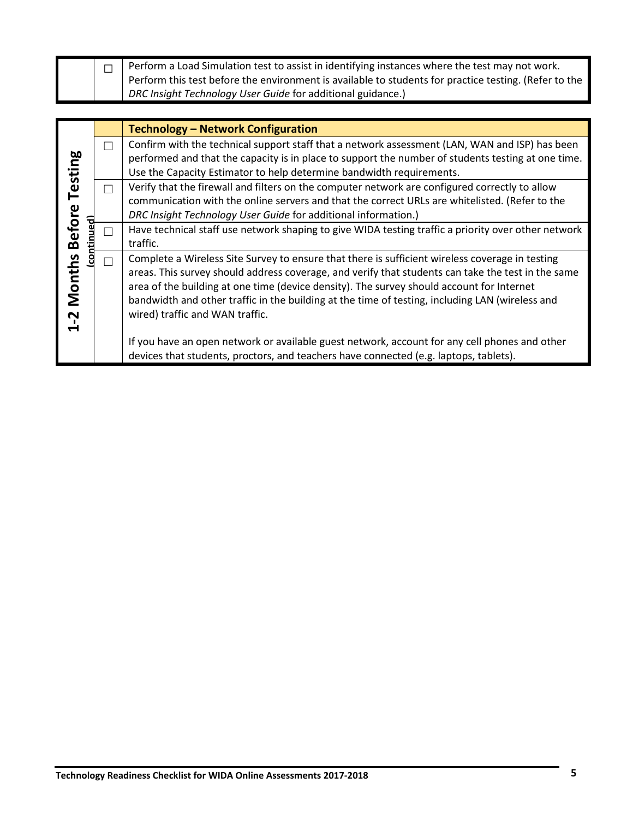|  | Perform a Load Simulation test to assist in identifying instances where the test may not work.        |
|--|-------------------------------------------------------------------------------------------------------|
|  | Perform this test before the environment is available to students for practice testing. (Refer to the |
|  | DRC Insight Technology User Guide for additional guidance.)                                           |

|                                                      |   | <b>Technology - Network Configuration</b>                                                                                                                                                                                                                                                                                                                                                                                                |
|------------------------------------------------------|---|------------------------------------------------------------------------------------------------------------------------------------------------------------------------------------------------------------------------------------------------------------------------------------------------------------------------------------------------------------------------------------------------------------------------------------------|
|                                                      | П | Confirm with the technical support staff that a network assessment (LAN, WAN and ISP) has been<br>performed and that the capacity is in place to support the number of students testing at one time.                                                                                                                                                                                                                                     |
| Testing<br><b>Before</b><br><b>Months</b><br>$1 - 2$ |   | Use the Capacity Estimator to help determine bandwidth requirements.                                                                                                                                                                                                                                                                                                                                                                     |
|                                                      |   | Verify that the firewall and filters on the computer network are configured correctly to allow<br>communication with the online servers and that the correct URLs are whitelisted. (Refer to the<br>DRC Insight Technology User Guide for additional information.)                                                                                                                                                                       |
|                                                      |   | Have technical staff use network shaping to give WIDA testing traffic a priority over other network<br>traffic.                                                                                                                                                                                                                                                                                                                          |
|                                                      |   | Complete a Wireless Site Survey to ensure that there is sufficient wireless coverage in testing<br>areas. This survey should address coverage, and verify that students can take the test in the same<br>area of the building at one time (device density). The survey should account for Internet<br>bandwidth and other traffic in the building at the time of testing, including LAN (wireless and<br>wired) traffic and WAN traffic. |
|                                                      |   | If you have an open network or available guest network, account for any cell phones and other<br>devices that students, proctors, and teachers have connected (e.g. laptops, tablets).                                                                                                                                                                                                                                                   |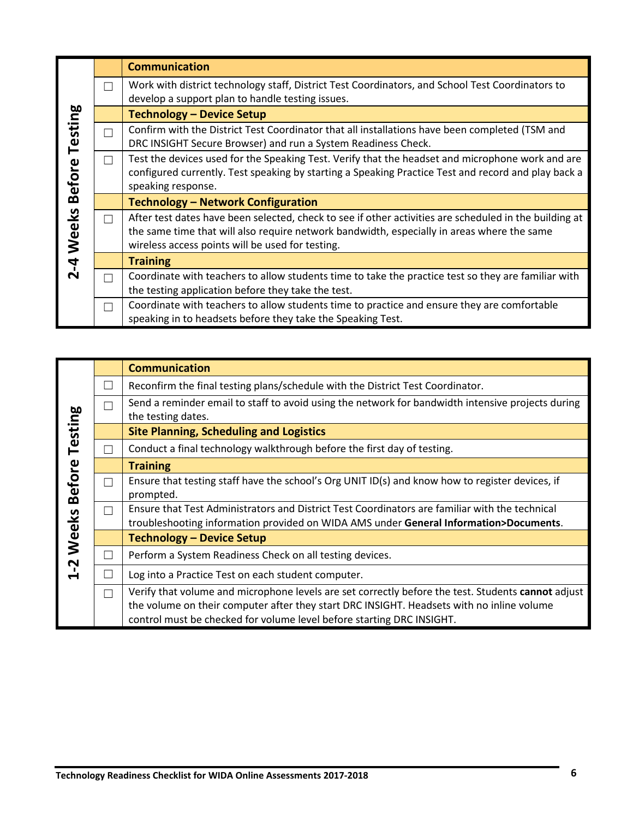| Testing<br><b>Before</b> |                          | <b>Communication</b>                                                                                                                                                                                                                                     |
|--------------------------|--------------------------|----------------------------------------------------------------------------------------------------------------------------------------------------------------------------------------------------------------------------------------------------------|
|                          | $\mathsf{L}$             | Work with district technology staff, District Test Coordinators, and School Test Coordinators to<br>develop a support plan to handle testing issues.                                                                                                     |
|                          |                          | <b>Technology - Device Setup</b>                                                                                                                                                                                                                         |
|                          | $\overline{\phantom{0}}$ | Confirm with the District Test Coordinator that all installations have been completed (TSM and<br>DRC INSIGHT Secure Browser) and run a System Readiness Check.                                                                                          |
|                          | $\mathsf{L}$             | Test the devices used for the Speaking Test. Verify that the headset and microphone work and are<br>configured currently. Test speaking by starting a Speaking Practice Test and record and play back a<br>speaking response.                            |
|                          |                          | <b>Technology - Network Configuration</b>                                                                                                                                                                                                                |
| Weeks<br>$2 - 4$         | П                        | After test dates have been selected, check to see if other activities are scheduled in the building at<br>the same time that will also require network bandwidth, especially in areas where the same<br>wireless access points will be used for testing. |
|                          |                          | <b>Training</b>                                                                                                                                                                                                                                          |
|                          | $\overline{\phantom{0}}$ | Coordinate with teachers to allow students time to take the practice test so they are familiar with<br>the testing application before they take the test.                                                                                                |
|                          | $\mathbf{L}$             | Coordinate with teachers to allow students time to practice and ensure they are comfortable<br>speaking in to headsets before they take the Speaking Test.                                                                                               |

| Testing          |              | <b>Communication</b>                                                                                                                                                                                                                                                     |
|------------------|--------------|--------------------------------------------------------------------------------------------------------------------------------------------------------------------------------------------------------------------------------------------------------------------------|
|                  |              | Reconfirm the final testing plans/schedule with the District Test Coordinator.                                                                                                                                                                                           |
|                  |              | Send a reminder email to staff to avoid using the network for bandwidth intensive projects during<br>the testing dates.                                                                                                                                                  |
|                  |              | <b>Site Planning, Scheduling and Logistics</b>                                                                                                                                                                                                                           |
|                  |              | Conduct a final technology walkthrough before the first day of testing.                                                                                                                                                                                                  |
|                  |              | <b>Training</b>                                                                                                                                                                                                                                                          |
| 1-2 Weeks Before |              | Ensure that testing staff have the school's Org UNIT ID(s) and know how to register devices, if<br>prompted.                                                                                                                                                             |
|                  | $\mathsf{L}$ | Ensure that Test Administrators and District Test Coordinators are familiar with the technical<br>troubleshooting information provided on WIDA AMS under General Information>Documents.                                                                                  |
|                  |              | <b>Technology - Device Setup</b>                                                                                                                                                                                                                                         |
|                  |              | Perform a System Readiness Check on all testing devices.                                                                                                                                                                                                                 |
|                  |              | Log into a Practice Test on each student computer.                                                                                                                                                                                                                       |
|                  | □            | Verify that volume and microphone levels are set correctly before the test. Students cannot adjust<br>the volume on their computer after they start DRC INSIGHT. Headsets with no inline volume<br>control must be checked for volume level before starting DRC INSIGHT. |